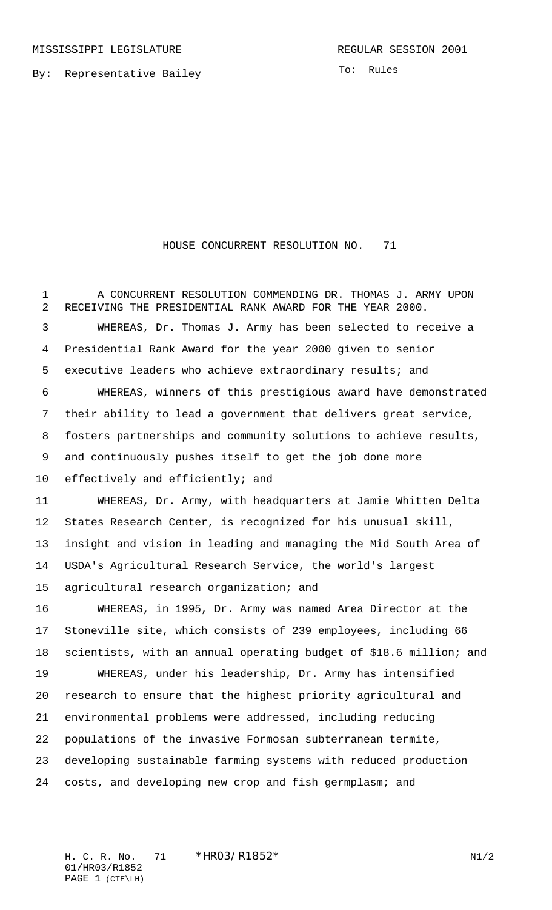By: Representative Bailey

To: Rules

HOUSE CONCURRENT RESOLUTION NO. 71

 A CONCURRENT RESOLUTION COMMENDING DR. THOMAS J. ARMY UPON RECEIVING THE PRESIDENTIAL RANK AWARD FOR THE YEAR 2000. WHEREAS, Dr. Thomas J. Army has been selected to receive a Presidential Rank Award for the year 2000 given to senior executive leaders who achieve extraordinary results; and WHEREAS, winners of this prestigious award have demonstrated their ability to lead a government that delivers great service, fosters partnerships and community solutions to achieve results, and continuously pushes itself to get the job done more effectively and efficiently; and WHEREAS, Dr. Army, with headquarters at Jamie Whitten Delta States Research Center, is recognized for his unusual skill, insight and vision in leading and managing the Mid South Area of USDA's Agricultural Research Service, the world's largest agricultural research organization; and WHEREAS, in 1995, Dr. Army was named Area Director at the Stoneville site, which consists of 239 employees, including 66 scientists, with an annual operating budget of \$18.6 million; and WHEREAS, under his leadership, Dr. Army has intensified research to ensure that the highest priority agricultural and environmental problems were addressed, including reducing populations of the invasive Formosan subterranean termite, developing sustainable farming systems with reduced production costs, and developing new crop and fish germplasm; and